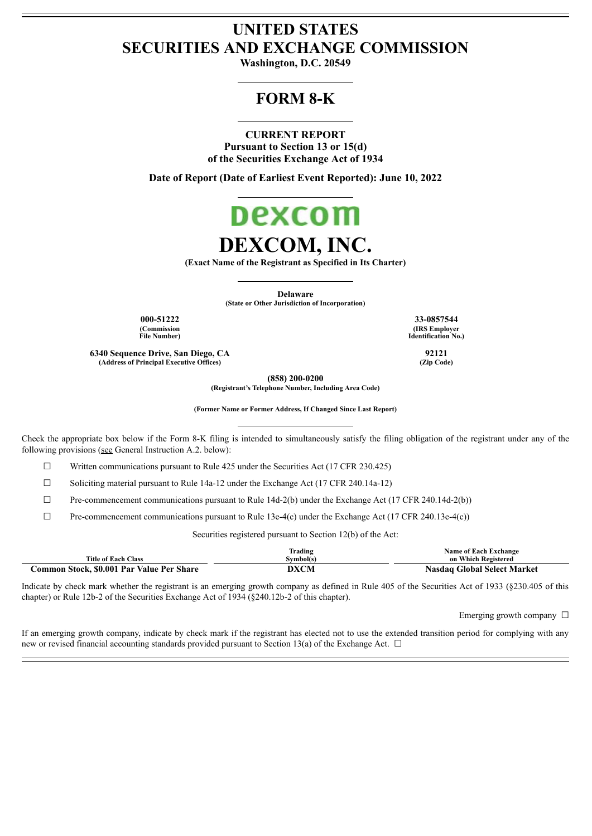# **UNITED STATES SECURITIES AND EXCHANGE COMMISSION**

**Washington, D.C. 20549**

# **FORM 8-K**

## **CURRENT REPORT**

**Pursuant to Section 13 or 15(d) of the Securities Exchange Act of 1934**

**Date of Report (Date of Earliest Event Reported): June 10, 2022**



**(Exact Name of the Registrant as Specified in Its Charter)**

**Delaware (State or Other Jurisdiction of Incorporation)**

**000-51222 33-0857544**

**(Commission File Number)**

**6340 Sequence Drive, San Diego, CA 92121**  $(A$ ddress of Principal **Executive** Offices)

**(858) 200-0200**

**(Registrant's Telephone Number, Including Area Code)**

**(Former Name or Former Address, If Changed Since Last Report)**

Check the appropriate box below if the Form 8-K filing is intended to simultaneously satisfy the filing obligation of the registrant under any of the following provisions (see General Instruction A.2. below):

☐ Written communications pursuant to Rule 425 under the Securities Act (17 CFR 230.425)

☐ Soliciting material pursuant to Rule 14a-12 under the Exchange Act (17 CFR 240.14a-12)

 $\Box$  Pre-commencement communications pursuant to Rule 14d-2(b) under the Exchange Act (17 CFR 240.14d-2(b))

 $\Box$  Pre-commencement communications pursuant to Rule 13e-4(c) under the Exchange Act (17 CFR 240.13e-4(c))

Securities registered pursuant to Section 12(b) of the Act:

| <b>Title of Each Class</b>                | Trading<br>Svmbol(s) | <b>Name of Each Exchange</b><br>on Which Registered |
|-------------------------------------------|----------------------|-----------------------------------------------------|
| Common Stock, \$0.001 Par Value Per Share | DXCM                 | Nasdag Global Select Market                         |

Indicate by check mark whether the registrant is an emerging growth company as defined in Rule 405 of the Securities Act of 1933 (§230.405 of this chapter) or Rule 12b-2 of the Securities Exchange Act of 1934 (§240.12b-2 of this chapter).

Emerging growth company  $\Box$ 

If an emerging growth company, indicate by check mark if the registrant has elected not to use the extended transition period for complying with any new or revised financial accounting standards provided pursuant to Section 13(a) of the Exchange Act.  $\Box$ 

**(IRS Employer Identification No.)**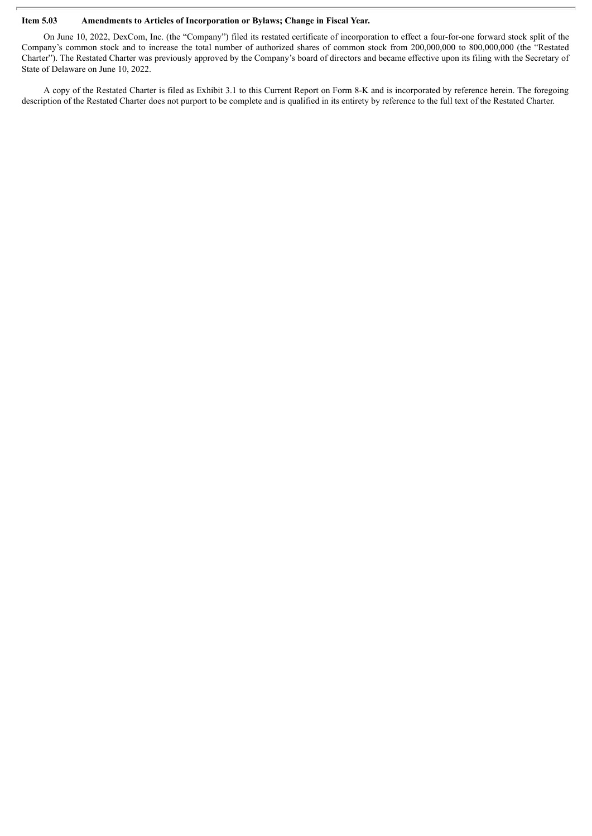## **Item 5.03 Amendments to Articles of Incorporation or Bylaws; Change in Fiscal Year.**

On June 10, 2022, DexCom, Inc. (the "Company") filed its restated certificate of incorporation to effect a four-for-one forward stock split of the Company's common stock and to increase the total number of authorized shares of common stock from 200,000,000 to 800,000,000 (the "Restated Charter"). The Restated Charter was previously approved by the Company's board of directors and became effective upon its filing with the Secretary of State of Delaware on June 10, 2022.

A copy of the Restated Charter is filed as Exhibit 3.1 to this Current Report on Form 8-K and is incorporated by reference herein. The foregoing description of the Restated Charter does not purport to be complete and is qualified in its entirety by reference to the full text of the Restated Charter.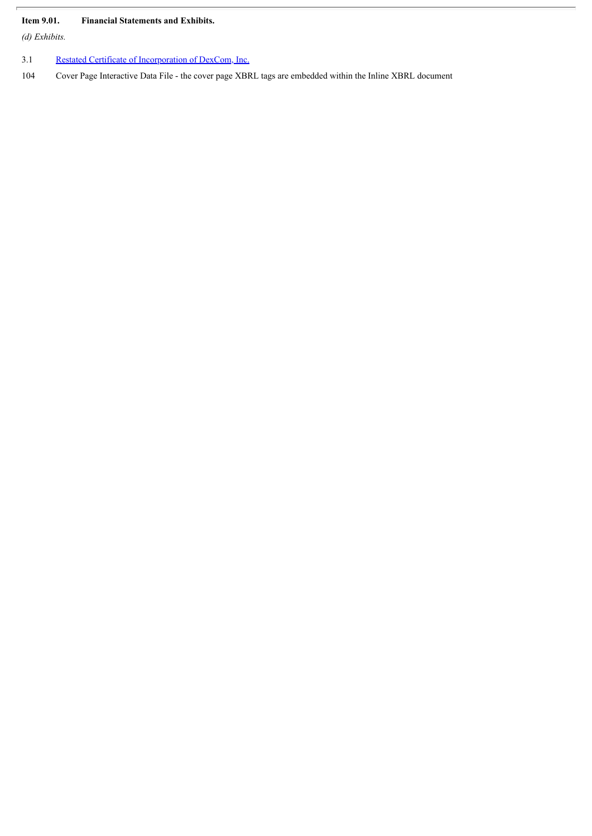## **Item 9.01. Financial Statements and Exhibits.**

*(d) Exhibits.*

- 3.1 Restated Certificate of [Incorporation](#page-4-0) of DexCom, Inc.
- 104 Cover Page Interactive Data File the cover page XBRL tags are embedded within the Inline XBRL document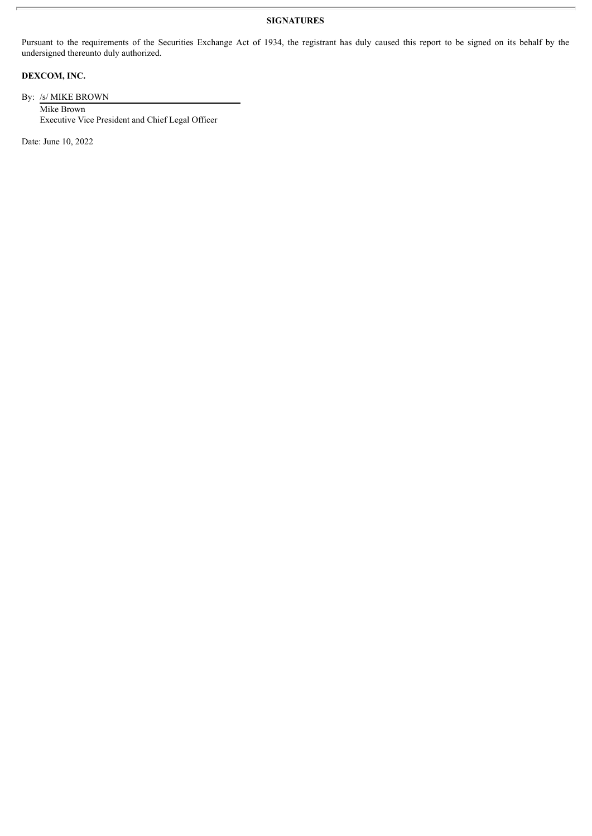## **SIGNATURES**

Pursuant to the requirements of the Securities Exchange Act of 1934, the registrant has duly caused this report to be signed on its behalf by the undersigned thereunto duly authorized.

# **DEXCOM, INC.**

By: /s/ MIKE BROWN Mike Brown Executive Vice President and Chief Legal Officer

Date: June 10, 2022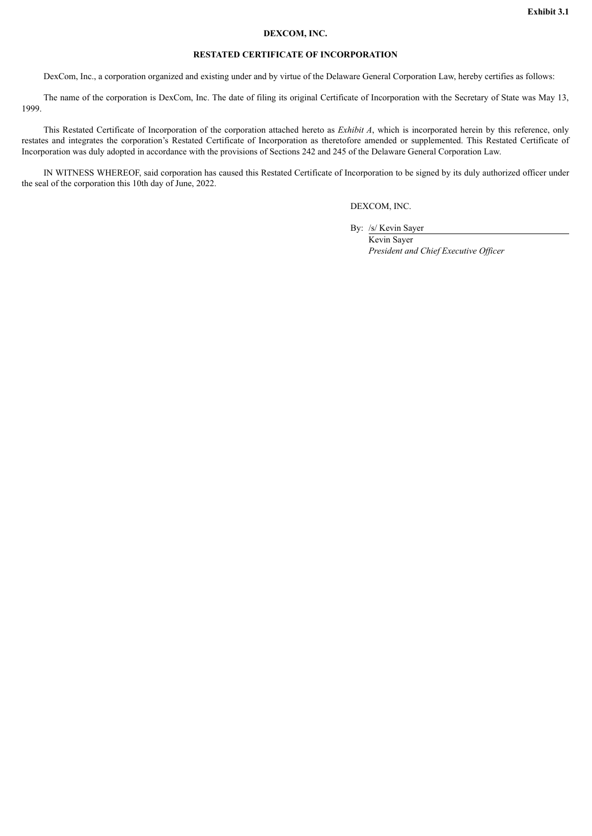#### **DEXCOM, INC.**

#### **RESTATED CERTIFICATE OF INCORPORATION**

<span id="page-4-0"></span>DexCom, Inc., a corporation organized and existing under and by virtue of the Delaware General Corporation Law, hereby certifies as follows:

The name of the corporation is DexCom, Inc. The date of filing its original Certificate of Incorporation with the Secretary of State was May 13, 1999.

This Restated Certificate of Incorporation of the corporation attached hereto as *Exhibit A*, which is incorporated herein by this reference, only restates and integrates the corporation's Restated Certificate of Incorporation as theretofore amended or supplemented. This Restated Certificate of Incorporation was duly adopted in accordance with the provisions of Sections 242 and 245 of the Delaware General Corporation Law.

IN WITNESS WHEREOF, said corporation has caused this Restated Certificate of Incorporation to be signed by its duly authorized officer under the seal of the corporation this 10th day of June, 2022.

DEXCOM, INC.

By: /s/ Kevin Sayer

Kevin Sayer *President and Chief Executive Of icer*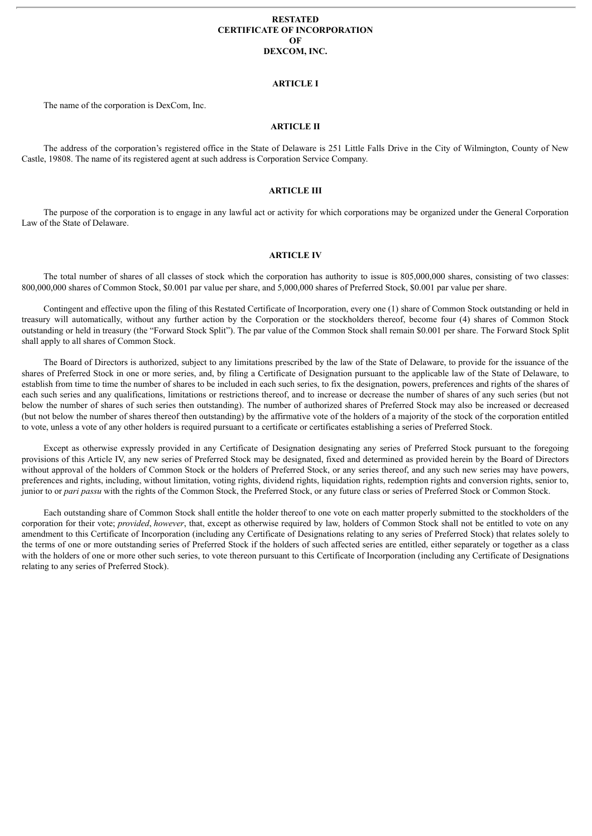#### **RESTATED CERTIFICATE OF INCORPORATION OF DEXCOM, INC.**

#### **ARTICLE I**

The name of the corporation is DexCom, Inc.

## **ARTICLE II**

The address of the corporation's registered office in the State of Delaware is 251 Little Falls Drive in the City of Wilmington, County of New Castle, 19808. The name of its registered agent at such address is Corporation Service Company.

#### **ARTICLE III**

The purpose of the corporation is to engage in any lawful act or activity for which corporations may be organized under the General Corporation Law of the State of Delaware.

#### **ARTICLE IV**

The total number of shares of all classes of stock which the corporation has authority to issue is 805,000,000 shares, consisting of two classes: 800,000,000 shares of Common Stock, \$0.001 par value per share, and 5,000,000 shares of Preferred Stock, \$0.001 par value per share.

Contingent and effective upon the filing of this Restated Certificate of Incorporation, every one (1) share of Common Stock outstanding or held in treasury will automatically, without any further action by the Corporation or the stockholders thereof, become four (4) shares of Common Stock outstanding or held in treasury (the "Forward Stock Split"). The par value of the Common Stock shall remain \$0.001 per share. The Forward Stock Split shall apply to all shares of Common Stock.

The Board of Directors is authorized, subject to any limitations prescribed by the law of the State of Delaware, to provide for the issuance of the shares of Preferred Stock in one or more series, and, by filing a Certificate of Designation pursuant to the applicable law of the State of Delaware, to establish from time to time the number of shares to be included in each such series, to fix the designation, powers, preferences and rights of the shares of each such series and any qualifications, limitations or restrictions thereof, and to increase or decrease the number of shares of any such series (but not below the number of shares of such series then outstanding). The number of authorized shares of Preferred Stock may also be increased or decreased (but not below the number of shares thereof then outstanding) by the affirmative vote of the holders of a majority of the stock of the corporation entitled to vote, unless a vote of any other holders is required pursuant to a certificate or certificates establishing a series of Preferred Stock.

Except as otherwise expressly provided in any Certificate of Designation designating any series of Preferred Stock pursuant to the foregoing provisions of this Article IV, any new series of Preferred Stock may be designated, fixed and determined as provided herein by the Board of Directors without approval of the holders of Common Stock or the holders of Preferred Stock, or any series thereof, and any such new series may have powers, preferences and rights, including, without limitation, voting rights, dividend rights, liquidation rights, redemption rights and conversion rights, senior to, junior to or *pari passu* with the rights of the Common Stock, the Preferred Stock, or any future class or series of Preferred Stock or Common Stock.

Each outstanding share of Common Stock shall entitle the holder thereof to one vote on each matter properly submitted to the stockholders of the corporation for their vote; *provided*, *however*, that, except as otherwise required by law, holders of Common Stock shall not be entitled to vote on any amendment to this Certificate of Incorporation (including any Certificate of Designations relating to any series of Preferred Stock) that relates solely to the terms of one or more outstanding series of Preferred Stock if the holders of such affected series are entitled, either separately or together as a class with the holders of one or more other such series, to vote thereon pursuant to this Certificate of Incorporation (including any Certificate of Designations relating to any series of Preferred Stock).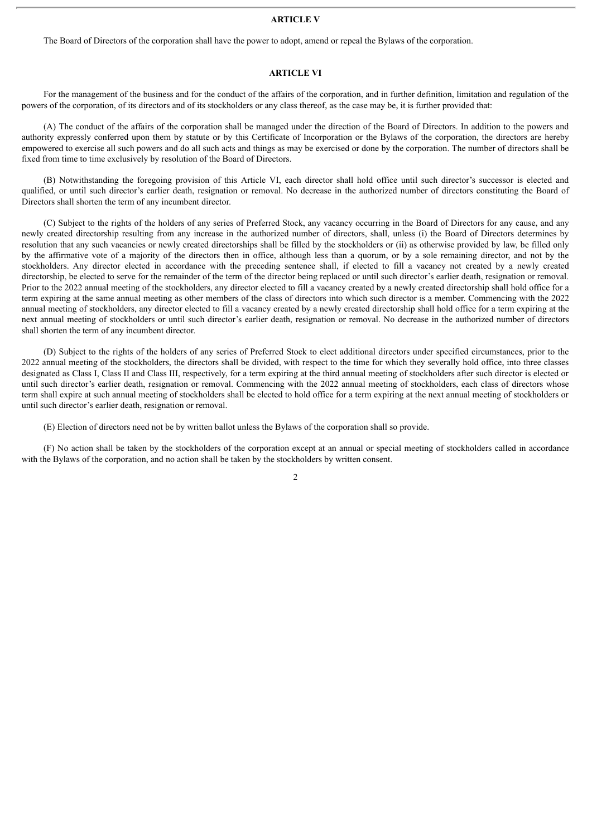#### **ARTICLE V**

The Board of Directors of the corporation shall have the power to adopt, amend or repeal the Bylaws of the corporation.

### **ARTICLE VI**

For the management of the business and for the conduct of the affairs of the corporation, and in further definition, limitation and regulation of the powers of the corporation, of its directors and of its stockholders or any class thereof, as the case may be, it is further provided that:

(A) The conduct of the affairs of the corporation shall be managed under the direction of the Board of Directors. In addition to the powers and authority expressly conferred upon them by statute or by this Certificate of Incorporation or the Bylaws of the corporation, the directors are hereby empowered to exercise all such powers and do all such acts and things as may be exercised or done by the corporation. The number of directors shall be fixed from time to time exclusively by resolution of the Board of Directors.

(B) Notwithstanding the foregoing provision of this Article VI, each director shall hold office until such director's successor is elected and qualified, or until such director's earlier death, resignation or removal. No decrease in the authorized number of directors constituting the Board of Directors shall shorten the term of any incumbent director.

(C) Subject to the rights of the holders of any series of Preferred Stock, any vacancy occurring in the Board of Directors for any cause, and any newly created directorship resulting from any increase in the authorized number of directors, shall, unless (i) the Board of Directors determines by resolution that any such vacancies or newly created directorships shall be filled by the stockholders or (ii) as otherwise provided by law, be filled only by the affirmative vote of a majority of the directors then in office, although less than a quorum, or by a sole remaining director, and not by the stockholders. Any director elected in accordance with the preceding sentence shall, if elected to fill a vacancy not created by a newly created directorship, be elected to serve for the remainder of the term of the director being replaced or until such director's earlier death, resignation or removal. Prior to the 2022 annual meeting of the stockholders, any director elected to fill a vacancy created by a newly created directorship shall hold office for a term expiring at the same annual meeting as other members of the class of directors into which such director is a member. Commencing with the 2022 annual meeting of stockholders, any director elected to fill a vacancy created by a newly created directorship shall hold office for a term expiring at the next annual meeting of stockholders or until such director's earlier death, resignation or removal. No decrease in the authorized number of directors shall shorten the term of any incumbent director.

(D) Subject to the rights of the holders of any series of Preferred Stock to elect additional directors under specified circumstances, prior to the 2022 annual meeting of the stockholders, the directors shall be divided, with respect to the time for which they severally hold office, into three classes designated as Class I, Class II and Class III, respectively, for a term expiring at the third annual meeting of stockholders after such director is elected or until such director's earlier death, resignation or removal. Commencing with the 2022 annual meeting of stockholders, each class of directors whose term shall expire at such annual meeting of stockholders shall be elected to hold office for a term expiring at the next annual meeting of stockholders or until such director's earlier death, resignation or removal.

(E) Election of directors need not be by written ballot unless the Bylaws of the corporation shall so provide.

(F) No action shall be taken by the stockholders of the corporation except at an annual or special meeting of stockholders called in accordance with the Bylaws of the corporation, and no action shall be taken by the stockholders by written consent.